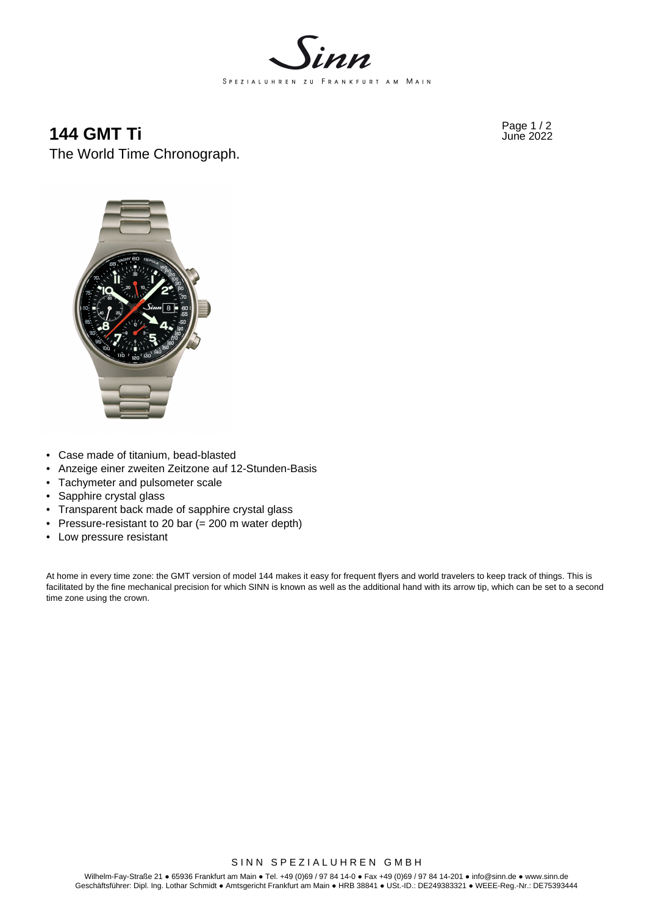

# **144 GMT Ti** Page 1/2 **Page 1/2** The World Time Chronograph.



- Case made of titanium, bead-blasted
- Anzeige einer zweiten Zeitzone auf 12-Stunden-Basis
- Tachymeter and pulsometer scale
- Sapphire crystal glass
- Transparent back made of sapphire crystal glass
- Pressure-resistant to 20 bar (= 200 m water depth)
- Low pressure resistant

At home in every time zone: the GMT version of model 144 makes it easy for frequent flyers and world travelers to keep track of things. This is facilitated by the fine mechanical precision for which SINN is known as well as the additional hand with its arrow tip, which can be set to a second time zone using the crown.